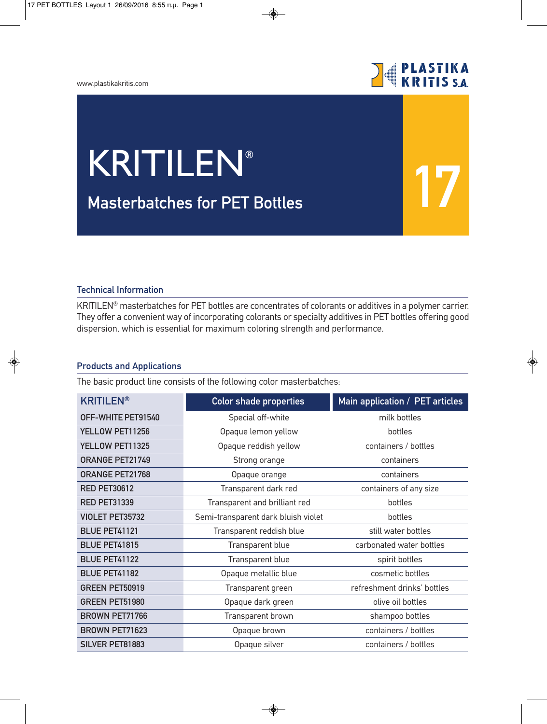## www.plastikakritis.com



**17**

## **Masterbatches for PET Bottles** KRITILEN**®**

## **Technical Information**

KRITILEN® masterbatches for PET bottles are concentrates of colorants or additives in a polymer carrier. They offer a convenient way of incorporating colorants or specialty additives in PET bottles offering good dispersion, which is essential for maximum coloring strength and performance.

## **Products and Applications**

The basic product line consists of the following color masterbatches:

| <b>KRITILEN®</b>       | <b>Color shade properties</b>       | Main application / PET articles |
|------------------------|-------------------------------------|---------------------------------|
| OFF-WHITE PET91540     | Special off-white                   | milk bottles                    |
| YELLOW PET11256        | Opaque lemon yellow                 | bottles                         |
| YELLOW PET11325        | Opaque reddish yellow               | containers / bottles            |
| <b>ORANGE PET21749</b> | Strong orange                       | containers                      |
| <b>ORANGE PET21768</b> | Opaque orange                       | containers                      |
| <b>RED PET30612</b>    | Transparent dark red                | containers of any size          |
| <b>RED PET31339</b>    | Transparent and brilliant red       | bottles                         |
| VIOLET PET35732        | Semi-transparent dark bluish violet | bottles                         |
| <b>BLUE PET41121</b>   | Transparent reddish blue            | still water bottles             |
| <b>BLUE PET41815</b>   | Transparent blue                    | carbonated water bottles        |
| <b>BLUE PET41122</b>   | Transparent blue                    | spirit bottles                  |
| <b>BLUE PET41182</b>   | Opaque metallic blue                | cosmetic bottles                |
| GREEN PET50919         | Transparent green                   | refreshment drinks' bottles     |
| GREEN PET51980         | Opaque dark green                   | olive oil bottles               |
| <b>BROWN PET71766</b>  | Transparent brown                   | shampoo bottles                 |
| <b>BROWN PET71623</b>  | Opaque brown                        | containers / bottles            |
| SILVER PET81883        | Opaque silver                       | containers / bottles            |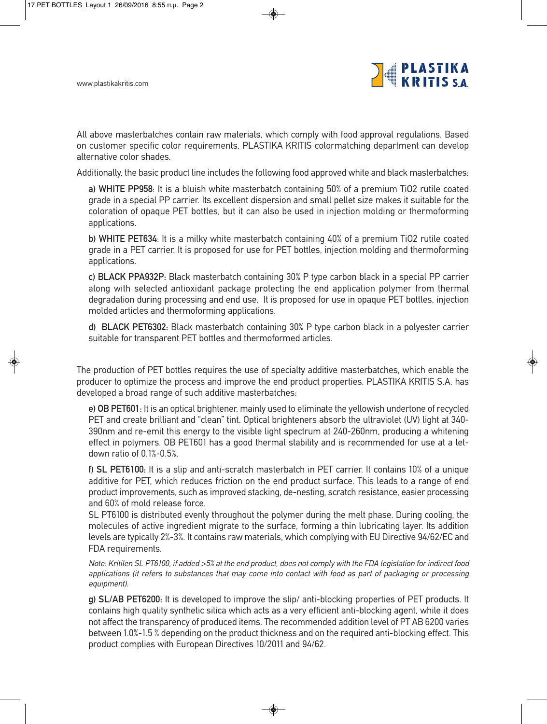

All above masterbatches contain raw materials, which comply with food approval regulations. Based on customer specific color requirements, PLASTIKA KRITIS colormatching department can develop alternative color shades.

Additionally, the basic product line includes the following food approved white and black masterbatches:

**a) WHITE PP958**: It is a bluish white masterbatch containing 50% of a premium TiO2 rutile coated grade in a special PP carrier. Its excellent dispersion and small pellet size makes it suitable for the coloration of opaque PET bottles, but it can also be used in injection molding or thermoforming applications.

**b) WHITE PET634**: It is a milky white masterbatch containing 40% of a premium TiO2 rutile coated grade in a PET carrier. It is proposed for use for PET bottles, injection molding and thermoforming applications.

**c) BLACK PPA932P:** Black masterbatch containing 30% P type carbon black in a special PP carrier along with selected antioxidant package protecting the end application polymer from thermal degradation during processing and end use. It is proposed for use in opaque PET bottles, injection molded articles and thermoforming applications.

**d) BLACK PET6302:** Black masterbatch containing 30% P type carbon black in a polyester carrier suitable for transparent PET bottles and thermoformed articles.

The production of PET bottles requires the use of specialty additive masterbatches, which enable the producer to optimize the process and improve the end product properties. PLASTIKA KRITIS S.A. has developed a broad range of such additive masterbatches:

**e) OB PET601:** It is an optical brightener, mainly used to eliminate the yellowish undertone of recycled PET and create brilliant and "clean" tint. Optical brighteners absorb the ultraviolet (UV) light at 340- 390nm and re-emit this energy to the visible light spectrum at 240-260nm, producing a whitening effect in polymers. OB PET601 has a good thermal stability and is recommended for use at a letdown ratio of 0.1%-0.5%.

**f) SL PET6100:** It is a slip and anti-scratch masterbatch in PET carrier. It contains 10% of a unique additive for PET, which reduces friction on the end product surface. This leads to a range of end product improvements, such as improved stacking, de-nesting, scratch resistance, easier processing and 60% of mold release force.

SL PT6100 is distributed evenly throughout the polymer during the melt phase. During cooling, the molecules of active ingredient migrate to the surface, forming a thin lubricating layer. Its addition levels are typically 2%-3%. It contains raw materials, which complying with EU Directive 94/62/EC and FDA requirements.

Note: Kritilen SL PT6100, if added >5% at the end product, does not comply with the FDA legislation for indirect food applications (it refers to substances that may come into contact with food as part of packaging or processing equipment).

**g) SL/AB PET6200:** It is developed to improve the slip/ anti-blocking properties of PET products. It contains high quality synthetic silica which acts as a very efficient anti-blocking agent, while it does not affect the transparency of produced items. The recommended addition level of PT AB 6200 varies between 1.0%-1.5 % depending on the product thickness and on the required anti-blocking effect. This product complies with European Directives 10/2011 and 94/62.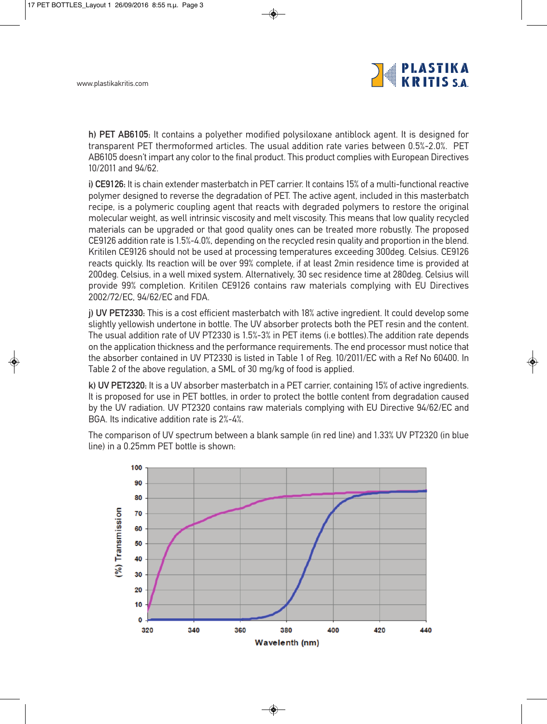

**h) PET AB6105:** It contains a polyether modified polysiloxane antiblock agent. It is designed for transparent PET thermoformed articles. The usual addition rate varies between 0.5%-2.0%. PET AB6105 doesn't impart any color to the final product. This product complies with European Directives 10/2011 and 94/62.

**i) CE9126:** It is chain extender masterbatch in PET carrier. It contains 15% of a multi-functional reactive polymer designed to reverse the degradation of PET. The active agent, included in this masterbatch recipe, is a polymeric coupling agent that reacts with degraded polymers to restore the original molecular weight, as well intrinsic viscosity and melt viscosity. This means that low quality recycled materials can be upgraded or that good quality ones can be treated more robustly. The proposed CE9126 addition rate is 1.5%-4.0%, depending on the recycled resin quality and proportion in the blend. Kritilen CE9126 should not be used at processing temperatures exceeding 300deg. Celsius. CE9126 reacts quickly. Its reaction will be over 99% complete, if at least 2min residence time is provided at 200deg. Celsius, in a well mixed system. Alternatively, 30 sec residence time at 280deg. Celsius will provide 99% completion. Kritilen CE9126 contains raw materials complying with EU Directives 2002/72/EC, 94/62/EC and FDA.

**j) UV PET2330:** This is a cost efficient masterbatch with 18% active ingredient. It could develop some slightly yellowish undertone in bottle. The UV absorber protects both the PET resin and the content. The usual addition rate of UV PT2330 is 1.5%-3% in PET items (i.e bottles).The addition rate depends on the application thickness and the performance requirements. The end processor must notice that the absorber contained in UV PT2330 is listed in Table 1 of Reg. 10/2011/EC with a Ref No 60400. In Table 2 of the above regulation, a SML of 30 mg/kg of food is applied.

**k) UV PET2320:** It is a UV absorber masterbatch in a PET carrier, containing 15% of active ingredients. It is proposed for use in PET bottles, in order to protect the bottle content from degradation caused by the UV radiation. UV PT2320 contains raw materials complying with EU Directive 94/62/EC and BGA. Its indicative addition rate is 2%-4%.

The comparison of UV spectrum between a blank sample (in red line) and 1.33% UV PT2320 (in blue line) in a 0.25mm PET bottle is shown: